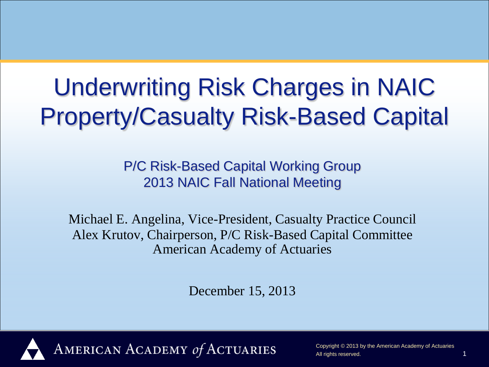# Underwriting Risk Charges in NAIC Property/Casualty Risk-Based Capital

P/C Risk-Based Capital Working Group 2013 NAIC Fall National Meeting

Michael E. Angelina, Vice-President, Casualty Practice Council Alex Krutov, Chairperson, P/C Risk-Based Capital Committee American Academy of Actuaries

December 15, 2013



AMERICAN ACADEMY of ACTUARIES

Copyright © 2013 by the American Academy of Actuaries All rights reserved.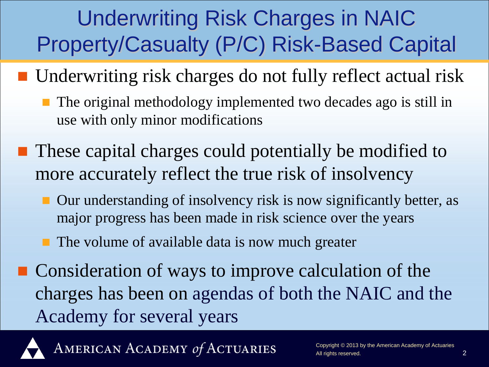### Underwriting Risk Charges in NAIC Property/Casualty (P/C) Risk-Based Capital

- Underwriting risk charges do not fully reflect actual risk
	- The original methodology implemented two decades ago is still in use with only minor modifications
- These capital charges could potentially be modified to more accurately reflect the true risk of insolvency
	- Our understanding of insolvency risk is now significantly better, as major progress has been made in risk science over the years
	- The volume of available data is now much greater
- Consideration of ways to improve calculation of the charges has been on agendas of both the NAIC and the Academy for several years



AMERICAN ACADEMY of ACTUARIES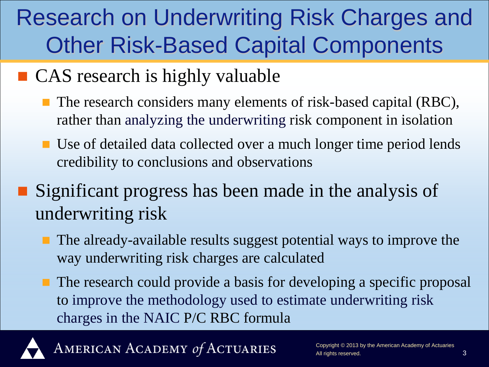### Research on Underwriting Risk Charges and Other Risk-Based Capital Components

#### ■ CAS research is highly valuable

- The research considers many elements of risk-based capital (RBC), rather than analyzing the underwriting risk component in isolation
- Use of detailed data collected over a much longer time period lends credibility to conclusions and observations

#### **Significant progress has been made in the analysis of** underwriting risk

- The already-available results suggest potential ways to improve the way underwriting risk charges are calculated
- The research could provide a basis for developing a specific proposal to improve the methodology used to estimate underwriting risk charges in the NAIC P/C RBC formula



AMERICAN ACADEMY of ACTUARIES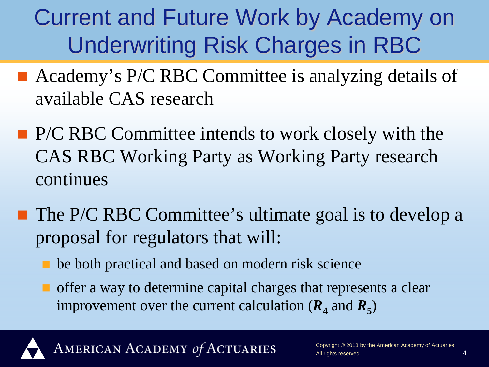## Current and Future Work by Academy on Underwriting Risk Charges in RBC

- Academy's P/C RBC Committee is analyzing details of available CAS research
- **P/C RBC Committee intends to work closely with the** CAS RBC Working Party as Working Party research continues
- The P/C RBC Committee's ultimate goal is to develop a proposal for regulators that will:
	- be both practical and based on modern risk science
	- **T** offer a way to determine capital charges that represents a clear improvement over the current calculation  $(R_4 \text{ and } R_5)$